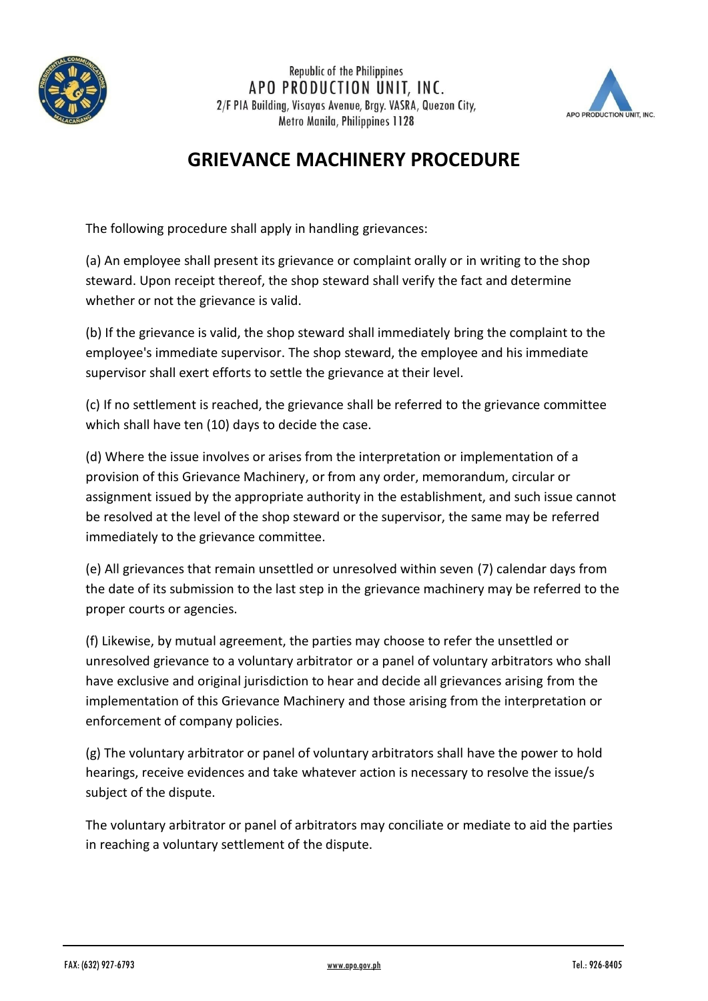

**Republic of the Philippines** APO PRODUCTION UNIT. INC. 2/F PIA Building, Visayas Avenue, Brgy. VASRA, Quezon City, Metro Manila, Philippines 1128



## **GRIEVANCE MACHINERY PROCEDURE**

The following procedure shall apply in handling grievances:

(a) An employee shall present its grievance or complaint orally or in writing to the shop steward. Upon receipt thereof, the shop steward shall verify the fact and determine whether or not the grievance is valid.

(b) If the grievance is valid, the shop steward shall immediately bring the complaint to the employee's immediate supervisor. The shop steward, the employee and his immediate supervisor shall exert efforts to settle the grievance at their level.

(c) If no settlement is reached, the grievance shall be referred to the grievance committee which shall have ten (10) days to decide the case.

(d) Where the issue involves or arises from the interpretation or implementation of a provision of this Grievance Machinery, or from any order, memorandum, circular or assignment issued by the appropriate authority in the establishment, and such issue cannot be resolved at the level of the shop steward or the supervisor, the same may be referred immediately to the grievance committee.

(e) All grievances that remain unsettled or unresolved within seven (7) calendar days from the date of its submission to the last step in the grievance machinery may be referred to the proper courts or agencies.

(f) Likewise, by mutual agreement, the parties may choose to refer the unsettled or unresolved grievance to a voluntary arbitrator or a panel of voluntary arbitrators who shall have exclusive and original jurisdiction to hear and decide all grievances arising from the implementation of this Grievance Machinery and those arising from the interpretation or enforcement of company policies.

(g) The voluntary arbitrator or panel of voluntary arbitrators shall have the power to hold hearings, receive evidences and take whatever action is necessary to resolve the issue/s subject of the dispute.

The voluntary arbitrator or panel of arbitrators may conciliate or mediate to aid the parties in reaching a voluntary settlement of the dispute.